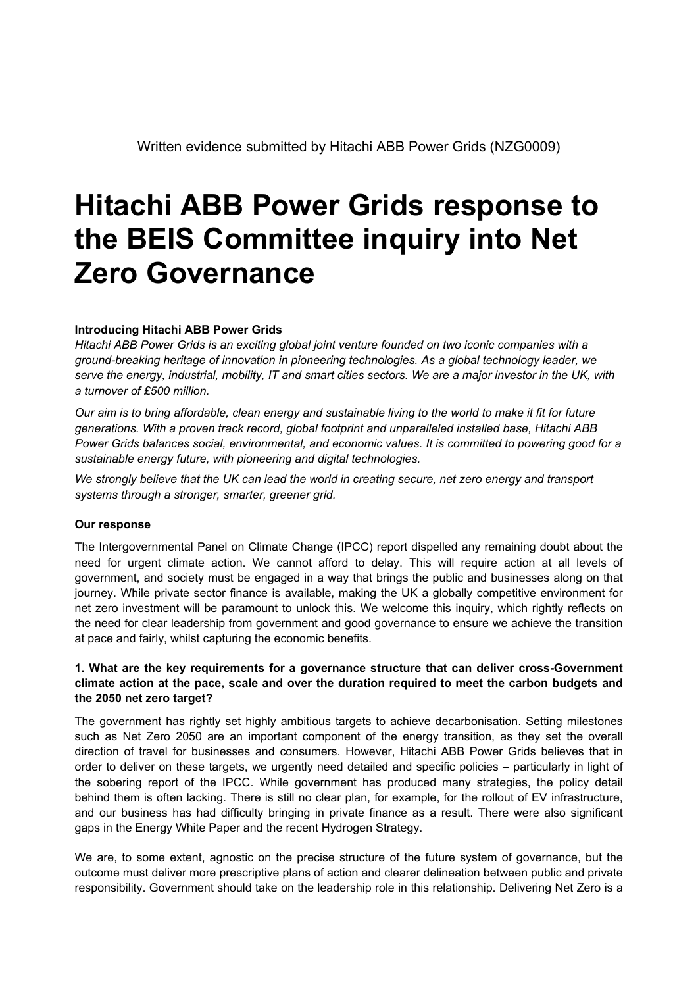# **Hitachi ABB Power Grids response to the BEIS Committee inquiry into Net Zero Governance**

#### **Introducing Hitachi ABB Power Grids**

*Hitachi ABB Power Grids is an exciting global joint venture founded on two iconic companies with a ground-breaking heritage of innovation in pioneering technologies. As a global technology leader, we* serve the energy, industrial, mobility, IT and smart cities sectors. We are a major investor in the UK, with *a turnover of £500 million.*

Our aim is to bring affordable, clean energy and sustainable living to the world to make it fit for future *generations. With a proven track record, global footprint and unparalleled installed base, Hitachi ABB Power Grids balances social, environmental, and economic values. It is committed to powering good for a sustainable energy future, with pioneering and digital technologies.*

We strongly believe that the UK can lead the world in creating secure, net zero energy and transport *systems through a stronger, smarter, greener grid.*

#### **Our response**

The Intergovernmental Panel on Climate Change (IPCC) report dispelled any remaining doubt about the need for urgent climate action. We cannot afford to delay. This will require action at all levels of government, and society must be engaged in a way that brings the public and businesses along on that journey. While private sector finance is available, making the UK a globally competitive environment for net zero investment will be paramount to unlock this. We welcome this inquiry, which rightly reflects on the need for clear leadership from government and good governance to ensure we achieve the transition at pace and fairly, whilst capturing the economic benefits.

#### **1. What are the key requirements for a governance structure that can deliver cross-Government climate action at the pace, scale and over the duration required to meet the carbon budgets and the 2050 net zero target?**

The government has rightly set highly ambitious targets to achieve decarbonisation. Setting milestones such as Net Zero 2050 are an important component of the energy transition, as they set the overall direction of travel for businesses and consumers. However, Hitachi ABB Power Grids believes that in order to deliver on these targets, we urgently need detailed and specific policies – particularly in light of the sobering report of the IPCC. While government has produced many strategies, the policy detail behind them is often lacking. There is still no clear plan, for example, for the rollout of EV infrastructure, and our business has had difficulty bringing in private finance as a result. There were also significant gaps in the Energy White Paper and the recent Hydrogen Strategy.

We are, to some extent, agnostic on the precise structure of the future system of governance, but the outcome must deliver more prescriptive plans of action and clearer delineation between public and private responsibility. Government should take on the leadership role in this relationship. Delivering Net Zero is a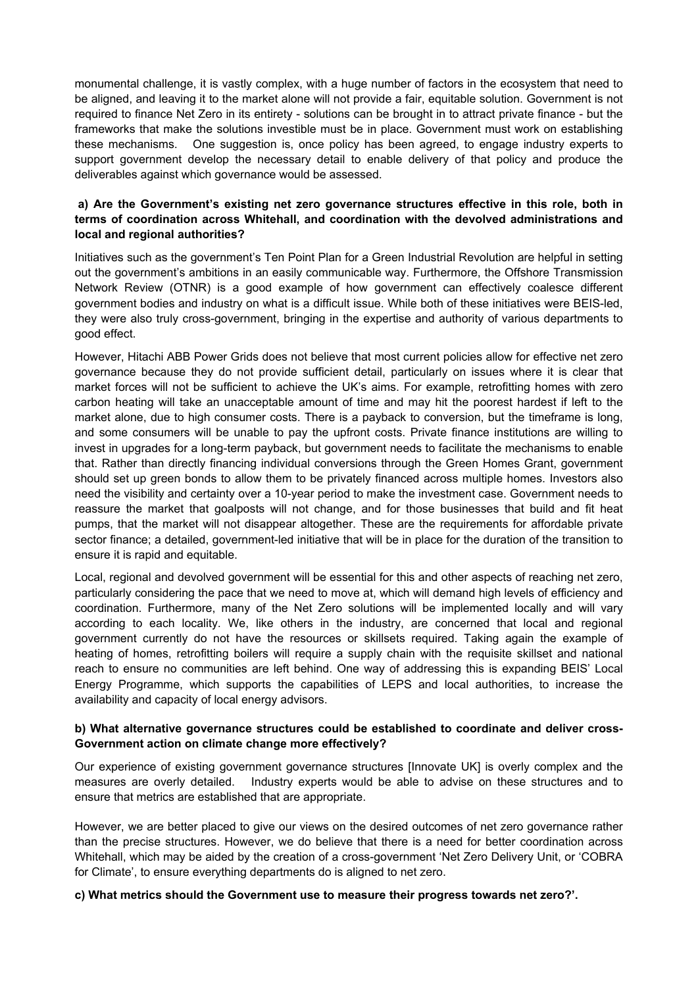monumental challenge, it is vastly complex, with a huge number of factors in the ecosystem that need to be aligned, and leaving it to the market alone will not provide a fair, equitable solution. Government is not required to finance Net Zero in its entirety - solutions can be brought in to attract private finance - but the frameworks that make the solutions investible must be in place. Government must work on establishing these mechanisms. One suggestion is, once policy has been agreed, to engage industry experts to support government develop the necessary detail to enable delivery of that policy and produce the deliverables against which governance would be assessed.

## **a) Are the Government's existing net zero governance structures effective in this role, both in terms of coordination across Whitehall, and coordination with the devolved administrations and local and regional authorities?**

Initiatives such as the government's Ten Point Plan for a Green Industrial Revolution are helpful in setting out the government's ambitions in an easily communicable way. Furthermore, the Offshore Transmission Network Review (OTNR) is a good example of how government can effectively coalesce different government bodies and industry on what is a difficult issue. While both of these initiatives were BEIS-led, they were also truly cross-government, bringing in the expertise and authority of various departments to good effect.

However, Hitachi ABB Power Grids does not believe that most current policies allow for effective net zero governance because they do not provide sufficient detail, particularly on issues where it is clear that market forces will not be sufficient to achieve the UK's aims. For example, retrofitting homes with zero carbon heating will take an unacceptable amount of time and may hit the poorest hardest if left to the market alone, due to high consumer costs. There is a payback to conversion, but the timeframe is long, and some consumers will be unable to pay the upfront costs. Private finance institutions are willing to invest in upgrades for a long-term payback, but government needs to facilitate the mechanisms to enable that. Rather than directly financing individual conversions through the Green Homes Grant, government should set up green bonds to allow them to be privately financed across multiple homes. Investors also need the visibility and certainty over a 10-year period to make the investment case. Government needs to reassure the market that goalposts will not change, and for those businesses that build and fit heat pumps, that the market will not disappear altogether. These are the requirements for affordable private sector finance; a detailed, government-led initiative that will be in place for the duration of the transition to ensure it is rapid and equitable.

Local, regional and devolved government will be essential for this and other aspects of reaching net zero, particularly considering the pace that we need to move at, which will demand high levels of efficiency and coordination. Furthermore, many of the Net Zero solutions will be implemented locally and will vary according to each locality. We, like others in the industry, are concerned that local and regional government currently do not have the resources or skillsets required. Taking again the example of heating of homes, retrofitting boilers will require a supply chain with the requisite skillset and national reach to ensure no communities are left behind. One way of addressing this is expanding BEIS' Local Energy Programme, which supports the capabilities of LEPS and local authorities, to increase the availability and capacity of local energy advisors.

### **b) What alternative governance structures could be established to coordinate and deliver cross-Government action on climate change more effectively?**

Our experience of existing government governance structures [Innovate UK] is overly complex and the measures are overly detailed. Industry experts would be able to advise on these structures and to ensure that metrics are established that are appropriate.

However, we are better placed to give our views on the desired outcomes of net zero governance rather than the precise structures. However, we do believe that there is a need for better coordination across Whitehall, which may be aided by the creation of a cross-government 'Net Zero Delivery Unit, or 'COBRA for Climate', to ensure everything departments do is aligned to net zero.

**c) What metrics should the Government use to measure their progress towards net zero?'.**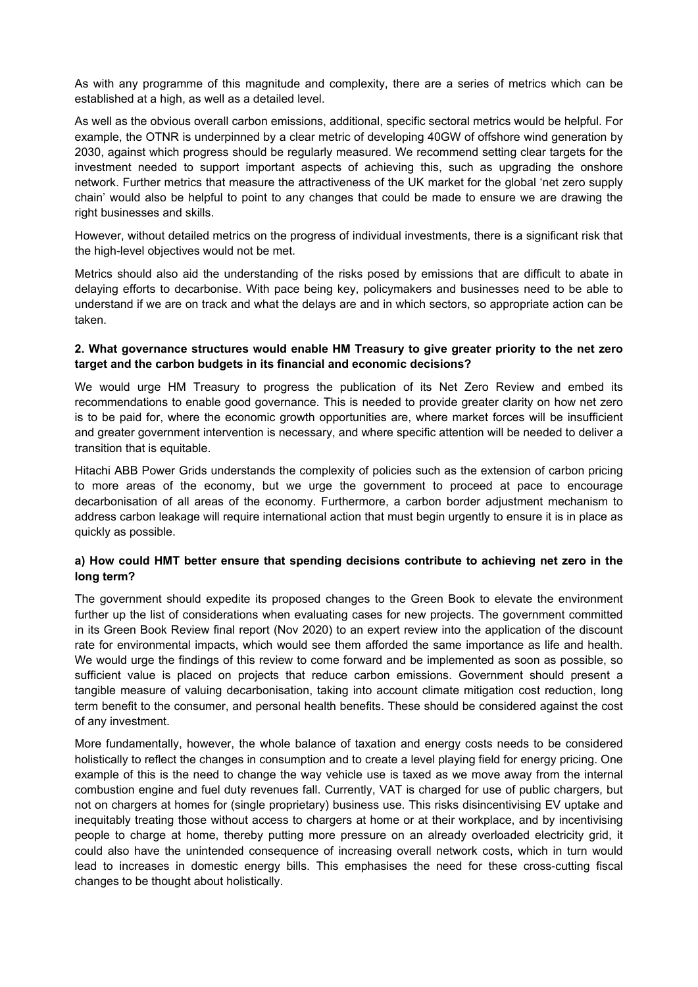As with any programme of this magnitude and complexity, there are a series of metrics which can be established at a high, as well as a detailed level.

As well as the obvious overall carbon emissions, additional, specific sectoral metrics would be helpful. For example, the OTNR is underpinned by a clear metric of developing 40GW of offshore wind generation by 2030, against which progress should be regularly measured. We recommend setting clear targets for the investment needed to support important aspects of achieving this, such as upgrading the onshore network. Further metrics that measure the attractiveness of the UK market for the global 'net zero supply chain' would also be helpful to point to any changes that could be made to ensure we are drawing the right businesses and skills.

However, without detailed metrics on the progress of individual investments, there is a significant risk that the high-level objectives would not be met.

Metrics should also aid the understanding of the risks posed by emissions that are difficult to abate in delaying efforts to decarbonise. With pace being key, policymakers and businesses need to be able to understand if we are on track and what the delays are and in which sectors, so appropriate action can be taken.

#### **2. What governance structures would enable HM Treasury to give greater priority to the net zero target and the carbon budgets in its financial and economic decisions?**

We would urge HM Treasury to progress the publication of its Net Zero Review and embed its recommendations to enable good governance. This is needed to provide greater clarity on how net zero is to be paid for, where the economic growth opportunities are, where market forces will be insufficient and greater government intervention is necessary, and where specific attention will be needed to deliver a transition that is equitable.

Hitachi ABB Power Grids understands the complexity of policies such as the extension of carbon pricing to more areas of the economy, but we urge the government to proceed at pace to encourage decarbonisation of all areas of the economy. Furthermore, a carbon border adjustment mechanism to address carbon leakage will require international action that must begin urgently to ensure it is in place as quickly as possible.

### **a) How could HMT better ensure that spending decisions contribute to achieving net zero in the long term?**

The government should expedite its proposed changes to the Green Book to elevate the environment further up the list of considerations when evaluating cases for new projects. The government committed in its Green Book Review final report (Nov 2020) to an expert review into the application of the discount rate for environmental impacts, which would see them afforded the same importance as life and health. We would urge the findings of this review to come forward and be implemented as soon as possible, so sufficient value is placed on projects that reduce carbon emissions. Government should present a tangible measure of valuing decarbonisation, taking into account climate mitigation cost reduction, long term benefit to the consumer, and personal health benefits. These should be considered against the cost of any investment.

More fundamentally, however, the whole balance of taxation and energy costs needs to be considered holistically to reflect the changes in consumption and to create a level playing field for energy pricing. One example of this is the need to change the way vehicle use is taxed as we move away from the internal combustion engine and fuel duty revenues fall. Currently, VAT is charged for use of public chargers, but not on chargers at homes for (single proprietary) business use. This risks disincentivising EV uptake and inequitably treating those without access to chargers at home or at their workplace, and by incentivising people to charge at home, thereby putting more pressure on an already overloaded electricity grid, it could also have the unintended consequence of increasing overall network costs, which in turn would lead to increases in domestic energy bills. This emphasises the need for these cross-cutting fiscal changes to be thought about holistically.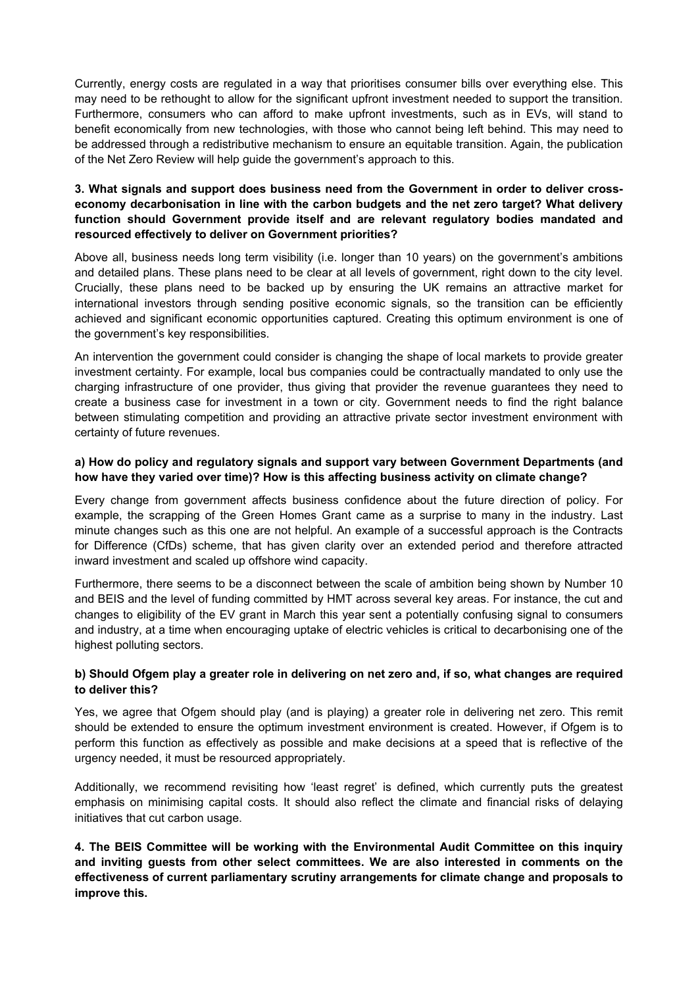Currently, energy costs are regulated in a way that prioritises consumer bills over everything else. This may need to be rethought to allow for the significant upfront investment needed to support the transition. Furthermore, consumers who can afford to make upfront investments, such as in EVs, will stand to benefit economically from new technologies, with those who cannot being left behind. This may need to be addressed through a redistributive mechanism to ensure an equitable transition. Again, the publication of the Net Zero Review will help guide the government's approach to this.

## **3. What signals and support does business need from the Government in order to deliver crosseconomy decarbonisation in line with the carbon budgets and the net zero target? What delivery function should Government provide itself and are relevant regulatory bodies mandated and resourced effectively to deliver on Government priorities?**

Above all, business needs long term visibility (i.e. longer than 10 years) on the government's ambitions and detailed plans. These plans need to be clear at all levels of government, right down to the city level. Crucially, these plans need to be backed up by ensuring the UK remains an attractive market for international investors through sending positive economic signals, so the transition can be efficiently achieved and significant economic opportunities captured. Creating this optimum environment is one of the government's key responsibilities.

An intervention the government could consider is changing the shape of local markets to provide greater investment certainty. For example, local bus companies could be contractually mandated to only use the charging infrastructure of one provider, thus giving that provider the revenue guarantees they need to create a business case for investment in a town or city. Government needs to find the right balance between stimulating competition and providing an attractive private sector investment environment with certainty of future revenues.

## **a) How do policy and regulatory signals and support vary between Government Departments (and how have they varied over time)? How is this affecting business activity on climate change?**

Every change from government affects business confidence about the future direction of policy. For example, the scrapping of the Green Homes Grant came as a surprise to many in the industry. Last minute changes such as this one are not helpful. An example of a successful approach is the Contracts for Difference (CfDs) scheme, that has given clarity over an extended period and therefore attracted inward investment and scaled up offshore wind capacity.

Furthermore, there seems to be a disconnect between the scale of ambition being shown by Number 10 and BEIS and the level of funding committed by HMT across several key areas. For instance, the cut and changes to eligibility of the EV grant in March this year sent a potentially confusing signal to consumers and industry, at a time when encouraging uptake of electric vehicles is critical to decarbonising one of the highest polluting sectors.

## b) Should Ofgem play a greater role in delivering on net zero and, if so, what changes are reguired **to deliver this?**

Yes, we agree that Ofgem should play (and is playing) a greater role in delivering net zero. This remit should be extended to ensure the optimum investment environment is created. However, if Ofgem is to perform this function as effectively as possible and make decisions at a speed that is reflective of the urgency needed, it must be resourced appropriately.

Additionally, we recommend revisiting how 'least regret' is defined, which currently puts the greatest emphasis on minimising capital costs. It should also reflect the climate and financial risks of delaying initiatives that cut carbon usage.

**4. The BEIS Committee will be working with the Environmental Audit Committee on this inquiry and inviting guests from other select committees. We are also interested in comments on the effectiveness of current parliamentary scrutiny arrangements for climate change and proposals to improve this.**